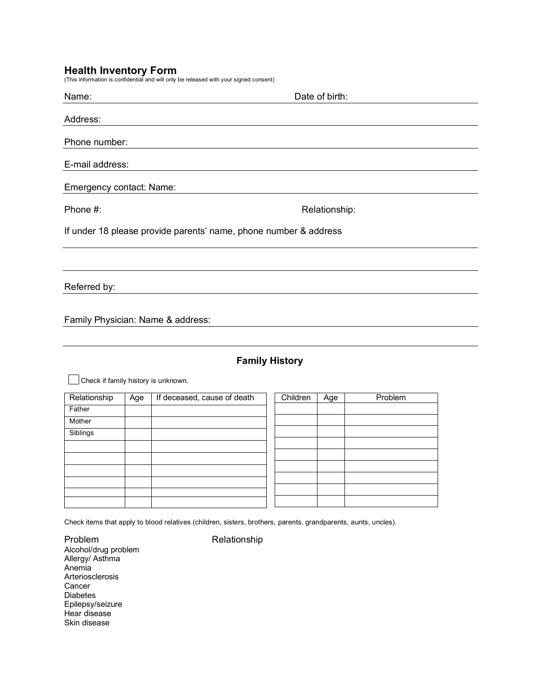**Health Inventory Form**<br>(This information is confidential and will only be released with your signed consent)

| Name:                                                            | Date of birth: |  |  |  |
|------------------------------------------------------------------|----------------|--|--|--|
| Address:                                                         |                |  |  |  |
| Phone number:                                                    |                |  |  |  |
| E-mail address:                                                  |                |  |  |  |
| Emergency contact: Name:                                         |                |  |  |  |
| Phone #:                                                         | Relationship:  |  |  |  |
| If under 18 please provide parents' name, phone number & address |                |  |  |  |
|                                                                  |                |  |  |  |
| Referred by:                                                     |                |  |  |  |

Family Physician: Name & address:

## **Family History**

Check if family history is unknown.  $\mathbf{L}$ 

| Relationship | Age | If deceased, cause of death | Children | Age | Problem |
|--------------|-----|-----------------------------|----------|-----|---------|
| Father       |     |                             |          |     |         |
| Mother       |     |                             |          |     |         |
| Siblings     |     |                             |          |     |         |
|              |     |                             |          |     |         |
|              |     |                             |          |     |         |
|              |     |                             |          |     |         |
|              |     |                             |          |     |         |
|              |     |                             |          |     |         |
|              |     |                             |          |     |         |

Check items that apply to blood relatives (children, sisters, brothers, parents, grandparents, aunts, uncles).

Problem Relationship Alcohol/drug problem Allergy/ Asthma Anemia Arteriosclerosis Cancer Diabetes Epilepsy/seizure Hear disease Skin disease